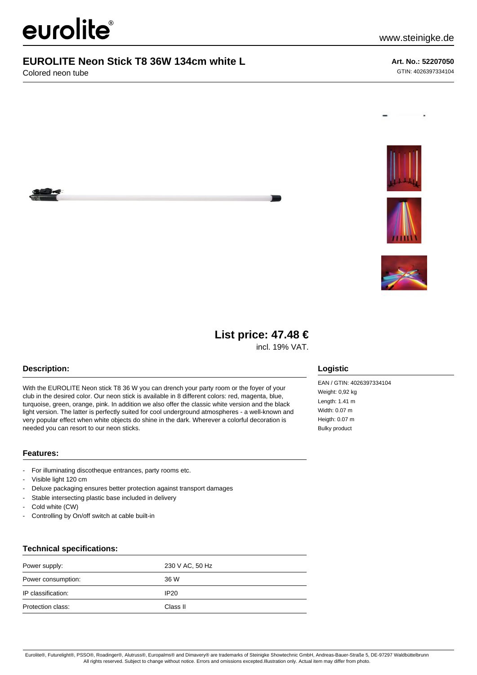# eurolite®

### **EUROLITE Neon Stick T8 36W 134cm white L**

Colored neon tube

#### **Art. No.: 52207050** GTIN: 4026397334104









## **List price: 47.48 €**

incl. 19% VAT.

#### **Description:**

With the EUROLITE Neon stick T8 36 W you can drench your party room or the foyer of your club in the desired color. Our neon stick is available in 8 different colors: red, magenta, blue, turquoise, green, orange, pink. In addition we also offer the classic white version and the black light version. The latter is perfectly suited for cool underground atmospheres - a well-known and very popular effect when white objects do shine in the dark. Wherever a colorful decoration is needed you can resort to our neon sticks.

#### **Features:**

- For illuminating discotheque entrances, party rooms etc.
- Visible light 120 cm
- Deluxe packaging ensures better protection against transport damages
- Stable intersecting plastic base included in delivery
- Cold white (CW)
- Controlling by On/off switch at cable built-in

#### **Technical specifications:**

| Power supply:      | 230 V AC, 50 Hz  |
|--------------------|------------------|
| Power consumption: | 36 W             |
| IP classification: | IP <sub>20</sub> |
| Protection class:  | Class II         |

#### **Logistic**

EAN / GTIN: 4026397334104 Weight: 0,92 kg Length: 1.41 m Width: 0.07 m Heigth: 0.07 m Bulky product

Eurolite®, Futurelight®, PSSO®, Roadinger®, Alutruss®, Europalms® and Dimavery® are trademarks of Steinigke Showtechnic GmbH, Andreas-Bauer-Straße 5, DE-97297 Waldbüttelbrunn All rights reserved. Subject to change without notice. Errors and omissions excepted.Illustration only. Actual item may differ from photo.